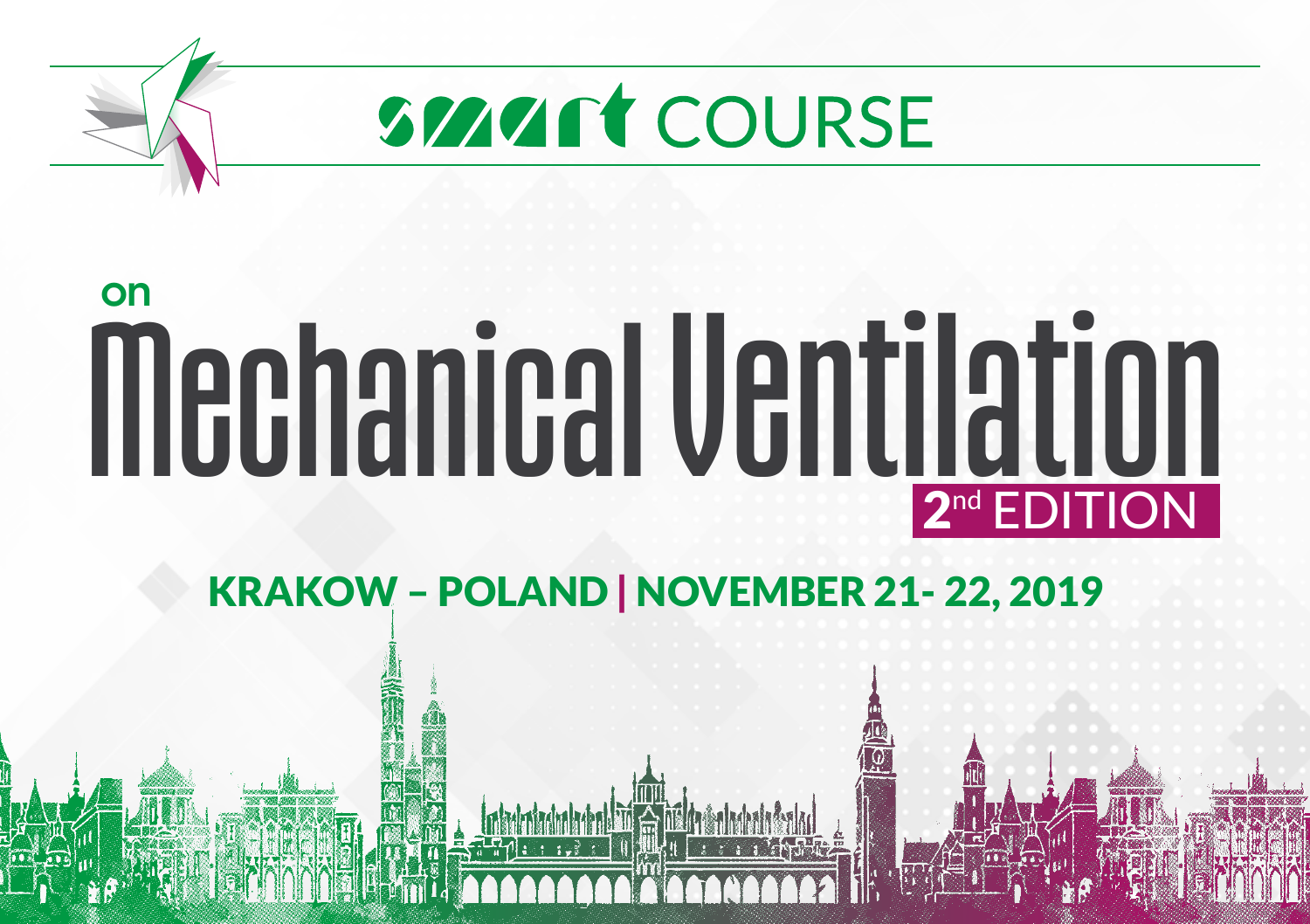

# Mechanical Ventilation **on** 2<sup>nd</sup> EDITION

KRAKOW – POLAND | NOVEMBER 21- 22, 2019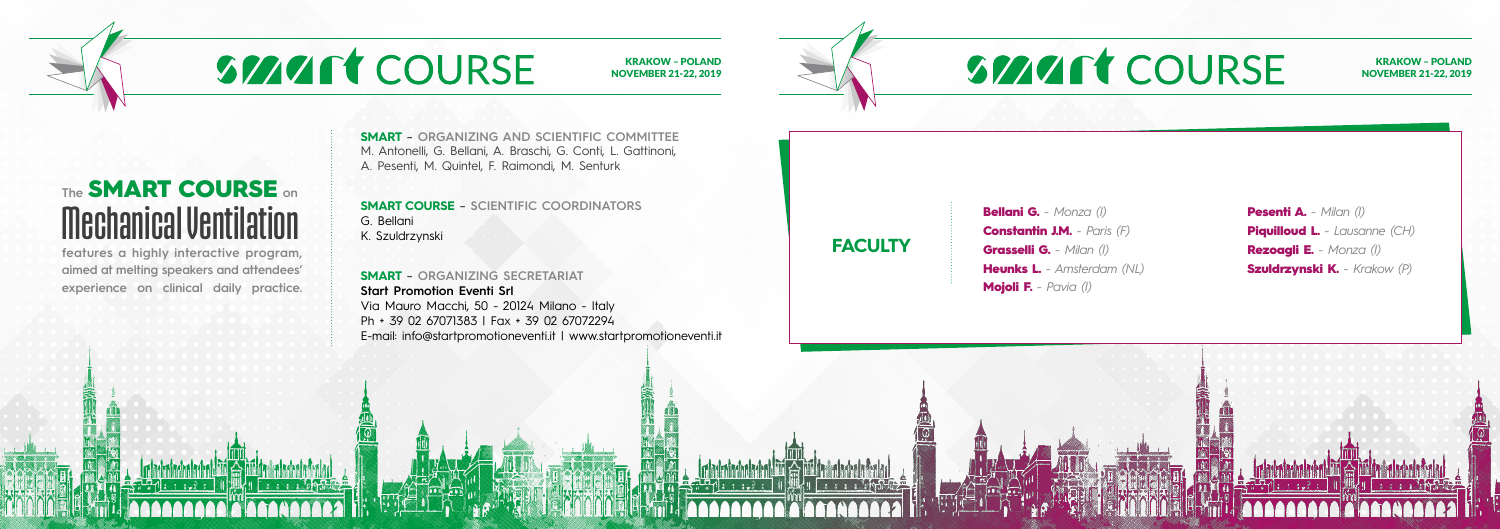**SMART** – **ORGANIZING AND SCIENTIFIC COMMITTEE** M. Antonelli, G. Bellani, A. Braschi, G. Conti, L. Gattinoni, A. Pesenti, M. Quintel, F. Raimondi, M. Senturk

**SMART COURSE** – **SCIENTIFIC COORDINATORS** G. Bellani K. Szuldrzynski

**SMART** – **ORGANIZING SECRETARIAT Start Promotion Eventi Srl** Via Mauro Macchi, 50 - 20124 Milano - Italy Ph + 39 02 67071383 | Fax + 39 02 67072294 E-mail: info@startpromotioneventi.it | www.startpromotioneventi.it

#### KRAKOW – POLAND NOVEMBER 21-22, 2019

KRAKOW – POLAND NOVEMBER 21-22, 2019

## **SMART COURSE**

**The** SMART COURSE **on**

Mechanical Ventilation

**features a highly interactive program, aimed at melting speakers and attendees' experience on clinical daily practice.**

Bellani G. *- Monza (I)*

# **SMART COURSE**

Constantin J.M. *- Paris (F)* Grasselli G. *- Milan (I)* Heunks L. *- Amsterdam (NL)* Mojoli F. *- Pavia (I)*

Pesenti A. *- Milan (I)* **Piquilloud L.** - Lausanne (CH) Rezoagli E. *- Monza (I)* Szuldrzynski K. *- Krakow (P)*



**FACULTY**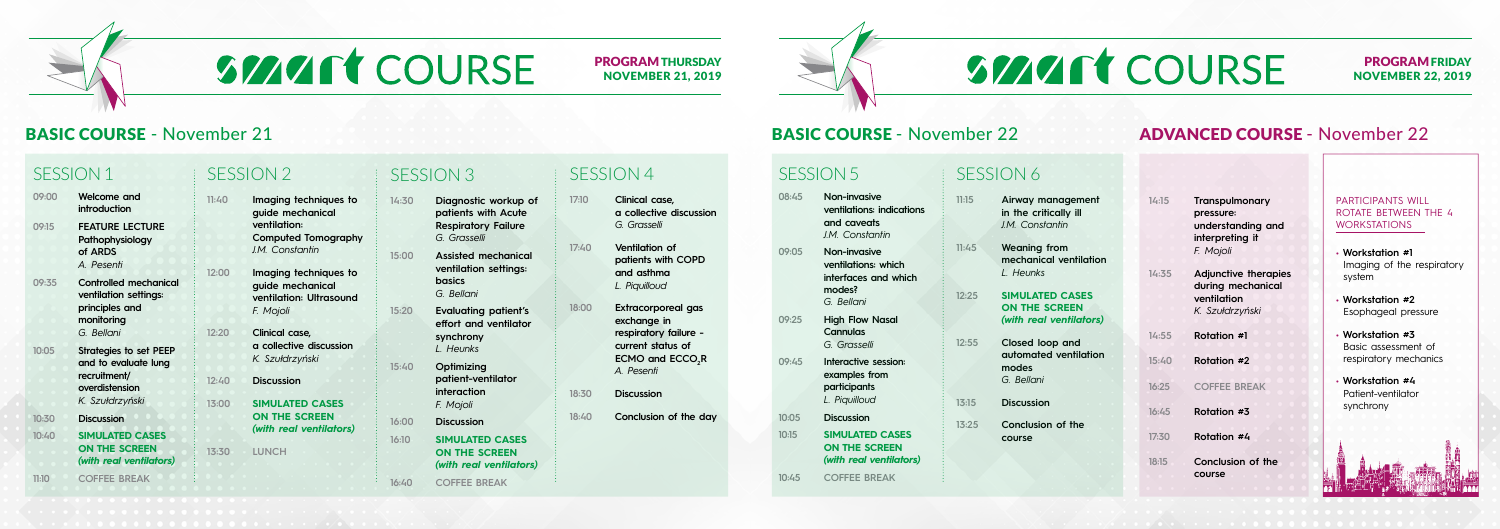#### PROGRAMFRIDAY NOVEMBER 22, 2019

### BASIC COURSE - November 21 **BASIC COURSE - November 22 ADVANCED COURSE - November 22**

## **SMART COURSE**

PROGRAMTHURSDAY NOVEMBER 21, 2019

## SESSION<sub>1</sub>

- **09:00 Welcome and introduction 09:15 FEATURE LECTURE Pathophysiology of ARDS** *A. Pesenti*
- **09:35 Controlled mechanical ventilation settings: principles and monitoring**
- **10:05 Strategies to set PEEP and to evaluate lung recruitment/ overdistension**

*G. Bellani*

- *K. Szułdrzyński*
- **10:30 Discussion**
- **10:40 SIMULATED CASES ON THE SCREEN**  *(with real ventilators)*
- **11:10 COFFEE BREAK**

### SESSION 5

- **08:45 Non-invasive ventilations: indications and caveats** *J.M. Constantin*
- **09:05 Non-invasive ventilations: which interfaces and which modes?** *G. Bellani*
- **09:25 High Flow Nasal Cannulas**
- *G. Grasselli* **09:45 Interactive session: examples from participants** *L. Piquilloud*
- **10:05 Discussion**
- **10:15 SIMULATED CASES ON THE SCREEN**  *(with real ventilators)*

**10:45 COFFEE BREAK**

## SESSION 2

- **11:40 Imaging techniques to guide mechanical ventilation: Computed Tomography** *J.M. Constantin*
- **12:00 Imaging techniques to guide mechanical ventilation: Ultrasound** *F. Mojoli*
- **12:20 Clinical case, a collective discussion** *K. Szułdrzyński*
- **12:40 Discussion**

**13:00 SIMULATED CASES ON THE SCREEN**  *(with real ventilators)*

**13:30 LUNCH**

### SESSION 6

- **11:15 Airway management in the critically ill** *J.M. Constantin*
- **11:45 Weaning from mechanical ventilation** *L. Heunks*
- **12:25 SIMULATED CASES ON THE SCREEN**  *(with real ventilators)*
- **12:55 Closed loop and automated ventilation modes** *G. Bellani*
- **13:15 Discussion**
- **13:25 Conclusion of the course**

# **SMART COURSE**

## SESSION 3

- **14:30 Diagnostic workup of patients with Acute Respiratory Failure** *G. Grasselli*
- **15:00 Assisted mechanical ventilation settings: basics**  *G. Bellani*
- **15:20 Evaluating patient's effort and ventilator synchrony** *L. Heunks*
- **15:40 Optimizing patient-ventilator interaction**  *F. Mojoli*
- **16:00 Discussion**
- **16:10 SIMULATED CASES ON THE SCREEN**  *(with real ventilators)*

**16:40 COFFEE BREAK**

**14:15 Transpulmonary pressure: understanding and interpreting it**  *F. Mojoli*

- **14:35 Adjunctive therapies during mechanical ventilation** *K. Szułdrzyński*
- **14:55 Rotation #1**
- **15:40 Rotation #2**
- **16:25 COFFEE BREAK**
- **16:45 Rotation #3**
- **17:30 Rotation #4**
- **18:15 Conclusion of the course**

### SESSION 4

- **17:10 Clinical case, a collective discussion** *G. Grasselli*
- **17:40 Ventilation of patients with COPD and asthma** *L. Piquilloud*
- **18:00 Extracorporeal gas exchange in respiratory failure current status of**   $\mathsf{ECMO}$  and  $\mathsf{ECCO}_{2}\mathsf{R}$ *A. Pesenti*
- **18:30 Discussion**
- **18:40 Conclusion of the day**

#### PARTICIPANTS WILL ROTATE BETWEEN THE 4 WORKSTATIONS

- **Workstation #1**  Imaging of the respiratory system
- **Workstation #2**  Esophageal pressure
- **Workstation #3**  Basic assessment of respiratory mechanics
- **Workstation #4** Patient-ventilator synchrony

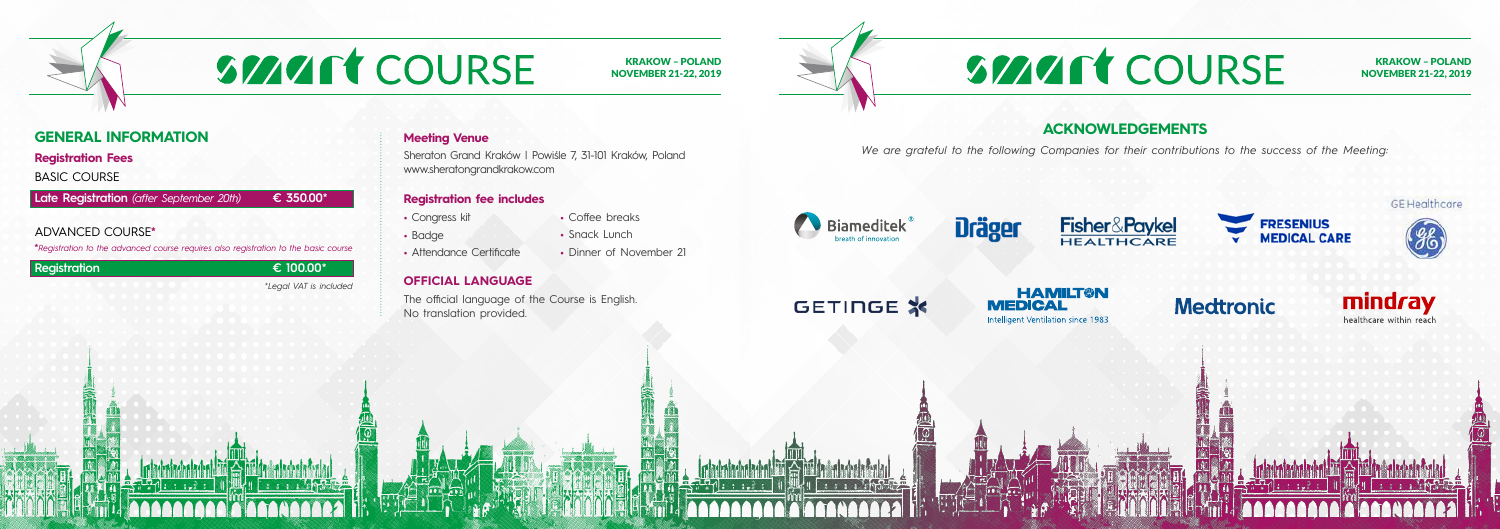### **GENERAL INFORMATION**

**Registration Fees**

BASIC COURSE

**Late Registration** *(after September 20th)* **€ 350.00\***

#### ADVANCED COURSE**\***

**\****Registration to the advanced course requires also registration to the basic course*

#### **Registration € 100.00\***

*\*Legal VAT is included*

#### **Meeting Venue**

Sheraton Grand Kraków | Powiśle 7, 31-101 Kraków, Poland www.sheratongrandkrakow.com

#### **Registration fee includes**

#### **OFFICIAL LANGUAGE**

The official language of the Course is English. No translation provided.



- Congress kit
- Badge
- Attendance Certificate
- Dinner of November 21

## **SMART COURSE**

KRAKOW – POLAND NOVEMBER 21-22, 2019

# SMART COURSE

**•** Coffee breaks **•** Snack Lunch

### **ACKNOWLEDGEMENTS**





**GE Healthcare** 

## **Medtronic**





*We are grateful to the following Companies for their contributions to the success of the Meeting:*





**Fisher&Paykel** HEALTHCARE

## GETINGE \*

**HAMILT®N MEDICAL** Intelligent Ventilation since 1983

KRAKOW – POLAND NOVEMBER 21-22, 2019